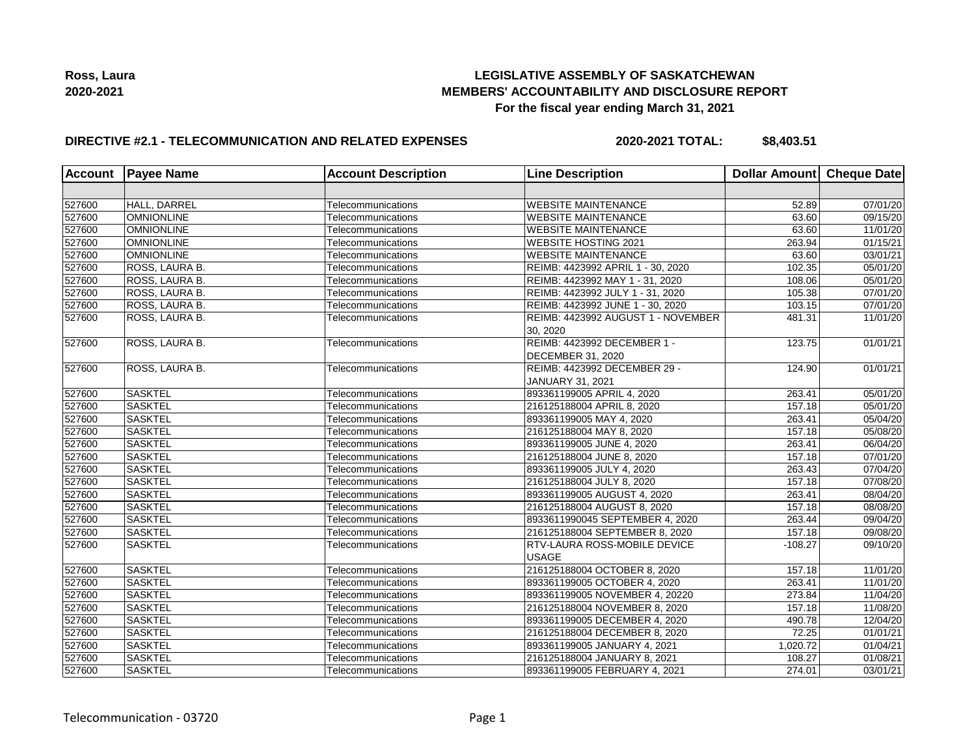

## **DIRECTIVE #2.1 - TELECOMMUNICATION AND RELATED EXPENSES**

**2020-2021 TOTAL: \$8,403.51**

| <b>Account</b> | <b>Payee Name</b> | <b>Account Description</b> | <b>Line Description</b>             | Dollar Amount Cheque Date |                       |
|----------------|-------------------|----------------------------|-------------------------------------|---------------------------|-----------------------|
|                |                   |                            |                                     |                           |                       |
| 527600         | HALL, DARREL      | Telecommunications         | <b>WEBSITE MAINTENANCE</b>          | 52.89                     | 07/01/20              |
| 527600         | <b>OMNIONLINE</b> | Telecommunications         | <b>WEBSITE MAINTENANCE</b>          | 63.60                     | 09/15/20              |
| 527600         | <b>OMNIONLINE</b> | Telecommunications         | <b>WEBSITE MAINTENANCE</b>          | 63.60                     | 11/01/20              |
| 527600         | <b>OMNIONLINE</b> | Telecommunications         | <b>WEBSITE HOSTING 2021</b>         | 263.94                    | 01/15/21              |
| 527600         | <b>OMNIONLINE</b> | Telecommunications         | <b>WEBSITE MAINTENANCE</b>          | 63.60                     | 03/01/21              |
| 527600         | ROSS, LAURA B.    | Telecommunications         | REIMB: 4423992 APRIL 1 - 30, 2020   | 102.35                    | 05/01/20              |
| 527600         | ROSS, LAURA B.    | Telecommunications         | REIMB: 4423992 MAY 1 - 31, 2020     | 108.06                    | 05/01/20              |
| 527600         | ROSS, LAURA B.    | Telecommunications         | REIMB: 4423992 JULY 1 - 31, 2020    | 105.38                    | $\overline{07}/01/20$ |
| 527600         | ROSS, LAURA B.    | Telecommunications         | REIMB: 4423992 JUNE 1 - 30, 2020    | 103.15                    | 07/01/20              |
| 527600         | ROSS, LAURA B.    | Telecommunications         | REIMB: 4423992 AUGUST 1 - NOVEMBER  | 481.31                    | 11/01/20              |
|                |                   |                            | 30, 2020                            |                           |                       |
| 527600         | ROSS, LAURA B.    | Telecommunications         | REIMB: 4423992 DECEMBER 1 -         | 123.75                    | 01/01/21              |
|                |                   |                            | <b>DECEMBER 31, 2020</b>            |                           |                       |
| 527600         | ROSS, LAURA B.    | Telecommunications         | REIMB: 4423992 DECEMBER 29 -        | 124.90                    | 01/01/21              |
|                |                   |                            | JANUARY 31, 2021                    |                           |                       |
| 527600         | <b>SASKTEL</b>    | Telecommunications         | 893361199005 APRIL 4, 2020          | 263.41                    | 05/01/20              |
| 527600         | <b>SASKTEL</b>    | Telecommunications         | 216125188004 APRIL 8, 2020          | 157.18                    | 05/01/20              |
| 527600         | <b>SASKTEL</b>    | Telecommunications         | 893361199005 MAY 4, 2020            | 263.41                    | 05/04/20              |
| 527600         | <b>SASKTEL</b>    | Telecommunications         | 216125188004 MAY 8, 2020            | 157.18                    | 05/08/20              |
| 527600         | <b>SASKTEL</b>    | Telecommunications         | 893361199005 JUNE 4, 2020           | 263.41                    | 06/04/20              |
| 527600         | SASKTEL           | Telecommunications         | 216125188004 JUNE 8, 2020           | 157.18                    | 07/01/20              |
| 527600         | <b>SASKTEL</b>    | Telecommunications         | 893361199005 JULY 4, 2020           | 263.43                    | 07/04/20              |
| 527600         | <b>SASKTEL</b>    | Telecommunications         | 216125188004 JULY 8, 2020           | 157.18                    | $\overline{07}/08/20$ |
| 527600         | <b>SASKTEL</b>    | Telecommunications         | 893361199005 AUGUST 4, 2020         | 263.41                    | 08/04/20              |
| 527600         | <b>SASKTEL</b>    | Telecommunications         | 216125188004 AUGUST 8, 2020         | 157.18                    | 08/08/20              |
| 527600         | SASKTEL           | Telecommunications         | 8933611990045 SEPTEMBER 4, 2020     | 263.44                    | 09/04/20              |
| 527600         | SASKTEL           | Telecommunications         | 216125188004 SEPTEMBER 8, 2020      | 157.18                    | 09/08/20              |
| 527600         | <b>SASKTEL</b>    | Telecommunications         | <b>RTV-LAURA ROSS-MOBILE DEVICE</b> | $-108.27$                 | 09/10/20              |
|                |                   |                            | <b>USAGE</b>                        |                           |                       |
| 527600         | <b>SASKTEL</b>    | Telecommunications         | 216125188004 OCTOBER 8, 2020        | 157.18                    | 11/01/20              |
| 527600         | <b>SASKTEL</b>    | Telecommunications         | 893361199005 OCTOBER 4, 2020        | 263.41                    | 11/01/20              |
| 527600         | <b>SASKTEL</b>    | Telecommunications         | 893361199005 NOVEMBER 4, 20220      | 273.84                    | 11/04/20              |
| 527600         | <b>SASKTEL</b>    | Telecommunications         | 216125188004 NOVEMBER 8, 2020       | 157.18                    | 11/08/20              |
| 527600         | <b>SASKTEL</b>    | Telecommunications         | 893361199005 DECEMBER 4, 2020       | 490.78                    | 12/04/20              |
| 527600         | <b>SASKTEL</b>    | Telecommunications         | 216125188004 DECEMBER 8, 2020       | 72.25                     | 01/01/21              |
| 527600         | <b>SASKTEL</b>    | Telecommunications         | 893361199005 JANUARY 4, 2021        | 1,020.72                  | 01/04/21              |
| 527600         | <b>SASKTEL</b>    | Telecommunications         | 216125188004 JANUARY 8, 2021        | 108.27                    | 01/08/21              |
| 527600         | <b>SASKTEL</b>    | Telecommunications         | 893361199005 FEBRUARY 4, 2021       | 274.01                    | 03/01/21              |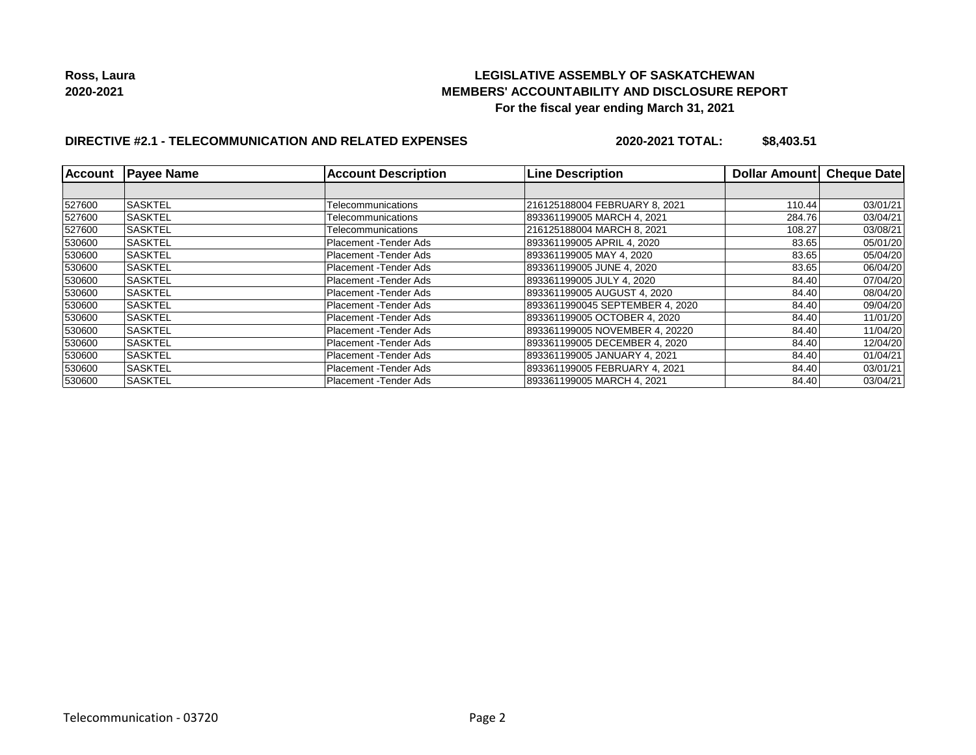## **LEGISLATIVE ASSEMBLY OF SASKATCHEWAN MEMBERS' ACCOUNTABILITY AND DISCLOSURE REPORT For the fiscal year ending March 31, 2021**

# **DIRECTIVE #2.1 - TELECOMMUNICATION AND RELATED EXPENSES**

**2020-2021 TOTAL: \$8,403.51**

| Account | <b>Payee Name</b> | <b>Account Description</b> | <b>Line Description</b>         | Dollar Amount | <b>Cheque Date</b> |
|---------|-------------------|----------------------------|---------------------------------|---------------|--------------------|
|         |                   |                            |                                 |               |                    |
| 527600  | <b>SASKTEL</b>    | Telecommunications         | 216125188004 FEBRUARY 8, 2021   | 110.44        | 03/01/21           |
| 527600  | <b>SASKTEL</b>    | Telecommunications         | 893361199005 MARCH 4, 2021      | 284.76        | 03/04/21           |
| 527600  | <b>SASKTEL</b>    | Telecommunications         | 216125188004 MARCH 8, 2021      | 108.27        | 03/08/21           |
| 530600  | <b>SASKTEL</b>    | Placement -Tender Ads      | 893361199005 APRIL 4, 2020      | 83.65         | 05/01/20           |
| 530600  | <b>SASKTEL</b>    | Placement -Tender Ads      | 893361199005 MAY 4, 2020        | 83.65         | 05/04/20           |
| 530600  | <b>SASKTEL</b>    | Placement - Tender Ads     | 893361199005 JUNE 4, 2020       | 83.65         | 06/04/20           |
| 530600  | <b>SASKTEL</b>    | Placement - Tender Ads     | 893361199005 JULY 4, 2020       | 84.40         | 07/04/20           |
| 530600  | <b>SASKTEL</b>    | Placement - Tender Ads     | 893361199005 AUGUST 4, 2020     | 84.40         | 08/04/20           |
| 530600  | <b>SASKTEL</b>    | Placement - Tender Ads     | 8933611990045 SEPTEMBER 4, 2020 | 84.40         | 09/04/20           |
| 530600  | <b>ISASKTEL</b>   | Placement -Tender Ads      | 893361199005 OCTOBER 4, 2020    | 84.40         | 11/01/20           |
| 530600  | <b>SASKTEL</b>    | Placement - Tender Ads     | 893361199005 NOVEMBER 4, 20220  | 84.40         | 11/04/20           |
| 530600  | <b>SASKTEL</b>    | Placement - Tender Ads     | 893361199005 DECEMBER 4, 2020   | 84.40         | 12/04/20           |
| 530600  | <b>SASKTEL</b>    | Placement - Tender Ads     | 893361199005 JANUARY 4, 2021    | 84.40         | 01/04/21           |
| 530600  | <b>SASKTEL</b>    | Placement - Tender Ads     | 893361199005 FEBRUARY 4, 2021   | 84.40         | 03/01/21           |
| 530600  | <b>SASKTEL</b>    | Placement -Tender Ads      | 893361199005 MARCH 4, 2021      | 84.40         | 03/04/21           |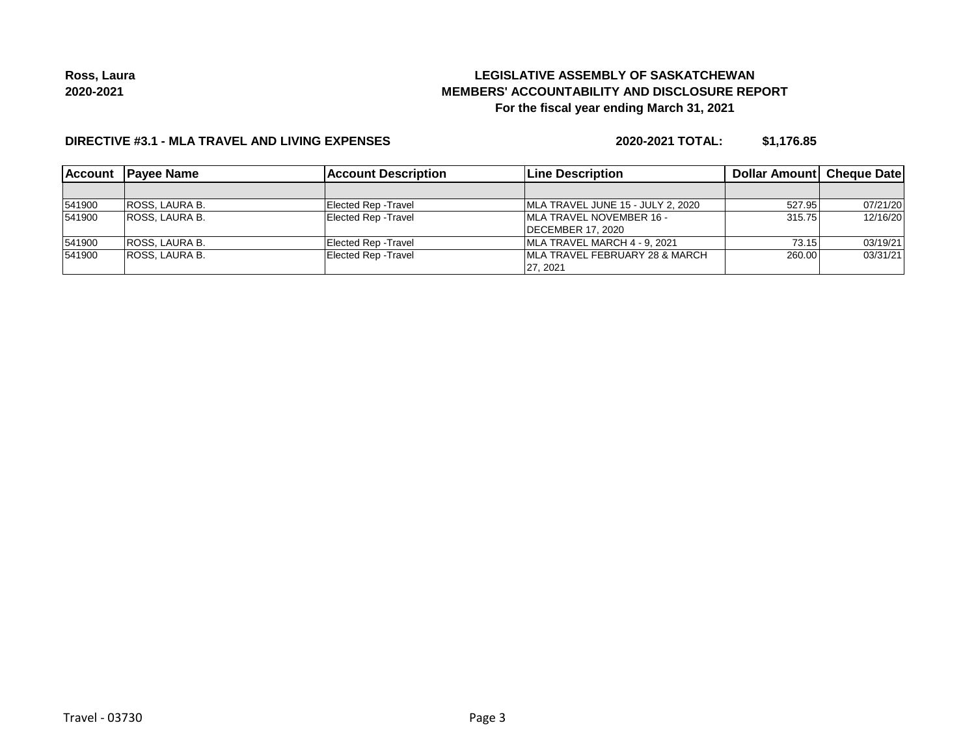# **LEGISLATIVE ASSEMBLY OF SASKATCHEWAN MEMBERS' ACCOUNTABILITY AND DISCLOSURE REPORT For the fiscal year ending March 31, 2021**

### **DIRECTIVE #3.1 - MLA TRAVEL AND LIVING EXPENSES**

**2020-2021 TOTAL: \$1,176.85**

| <b>Account</b> | <b>IPavee Name</b>    | <b>Account Description</b>  | <b>Line Description</b>                    | Dollar Amount Cheque Date |          |
|----------------|-----------------------|-----------------------------|--------------------------------------------|---------------------------|----------|
|                |                       |                             |                                            |                           |          |
| 541900         | <b>ROSS, LAURA B.</b> | Elected Rep - Travel        | MLA TRAVEL JUNE 15 - JULY 2, 2020          | 527.95                    | 07/21/20 |
| 541900         | <b>ROSS, LAURA B.</b> | <b>Elected Rep - Travel</b> | <b>IMLA TRAVEL NOVEMBER 16 -</b>           | 315.75                    | 12/16/20 |
|                |                       |                             | <b>IDECEMBER 17, 2020</b>                  |                           |          |
| 541900         | <b>ROSS, LAURA B.</b> | Elected Rep - Travel        | MLA TRAVEL MARCH 4 - 9, 2021               | 73.15                     | 03/19/21 |
| 541900         | <b>ROSS, LAURA B.</b> | <b>Elected Rep - Travel</b> | <b>IMLA TRAVEL FEBRUARY 28 &amp; MARCH</b> | 260.00                    | 03/31/21 |
|                |                       |                             | 27.2021                                    |                           |          |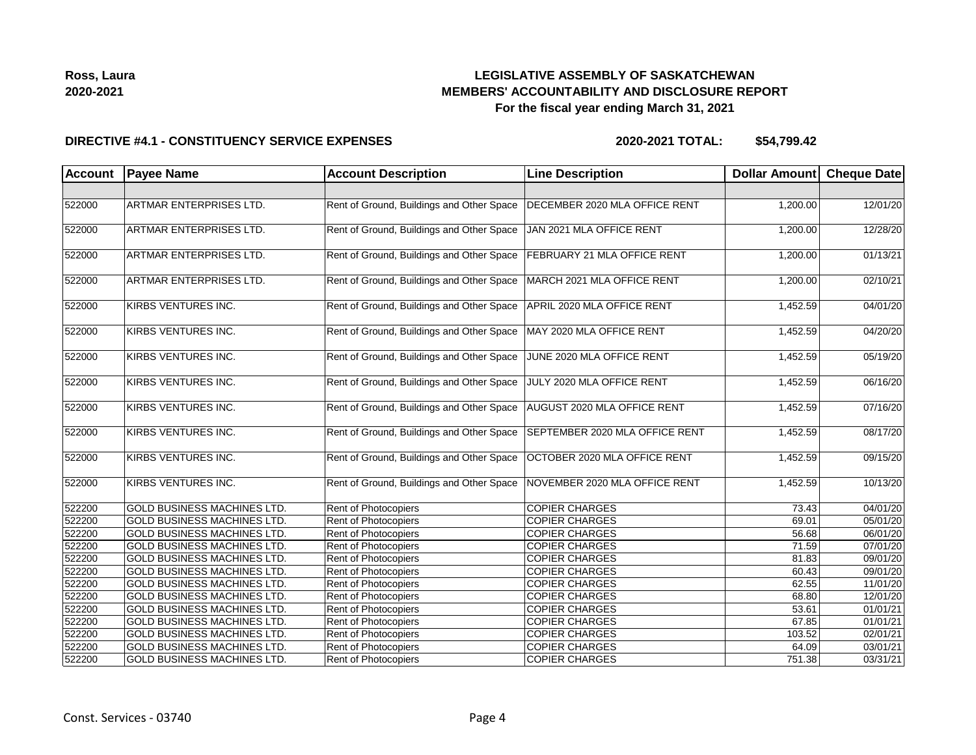

#### **DIRECTIVE #4.1 - CONSTITUENCY SERVICE EXPENSES**

| <b>Account</b> | <b>Payee Name</b>                  | <b>Account Description</b>                | <b>Line Description</b>        | Dollar Amount | <b>Cheque Date</b> |
|----------------|------------------------------------|-------------------------------------------|--------------------------------|---------------|--------------------|
|                |                                    |                                           |                                |               |                    |
| 522000         | ARTMAR ENTERPRISES LTD.            | Rent of Ground, Buildings and Other Space | DECEMBER 2020 MLA OFFICE RENT  | 1,200.00      | 12/01/20           |
| 522000         | <b>ARTMAR ENTERPRISES LTD.</b>     | Rent of Ground, Buildings and Other Space | JAN 2021 MLA OFFICE RENT       | 1,200.00      | 12/28/20           |
| 522000         | ARTMAR ENTERPRISES LTD.            | Rent of Ground, Buildings and Other Space | FEBRUARY 21 MLA OFFICE RENT    | 1,200.00      | 01/13/21           |
| 522000         | ARTMAR ENTERPRISES LTD.            | Rent of Ground, Buildings and Other Space | MARCH 2021 MLA OFFICE RENT     | 1,200.00      | 02/10/21           |
| 522000         | KIRBS VENTURES INC.                | Rent of Ground, Buildings and Other Space | APRIL 2020 MLA OFFICE RENT     | 1,452.59      | 04/01/20           |
| 522000         | KIRBS VENTURES INC.                | Rent of Ground, Buildings and Other Space | MAY 2020 MLA OFFICE RENT       | 1,452.59      | 04/20/20           |
| 522000         | KIRBS VENTURES INC.                | Rent of Ground, Buildings and Other Space | JUNE 2020 MLA OFFICE RENT      | 1,452.59      | 05/19/20           |
| 522000         | KIRBS VENTURES INC.                | Rent of Ground, Buildings and Other Space | JULY 2020 MLA OFFICE RENT      | 1,452.59      | 06/16/20           |
| 522000         | KIRBS VENTURES INC.                | Rent of Ground, Buildings and Other Space | AUGUST 2020 MLA OFFICE RENT    | 1,452.59      | 07/16/20           |
| 522000         | KIRBS VENTURES INC.                | Rent of Ground, Buildings and Other Space | SEPTEMBER 2020 MLA OFFICE RENT | 1,452.59      | 08/17/20           |
| 522000         | KIRBS VENTURES INC.                | Rent of Ground, Buildings and Other Space | OCTOBER 2020 MLA OFFICE RENT   | 1,452.59      | 09/15/20           |
| 522000         | KIRBS VENTURES INC.                | Rent of Ground, Buildings and Other Space | NOVEMBER 2020 MLA OFFICE RENT  | 1,452.59      | 10/13/20           |
| 522200         | <b>GOLD BUSINESS MACHINES LTD.</b> | Rent of Photocopiers                      | <b>COPIER CHARGES</b>          | 73.43         | 04/01/20           |
| 522200         | <b>GOLD BUSINESS MACHINES LTD.</b> | Rent of Photocopiers                      | <b>COPIER CHARGES</b>          | 69.01         | 05/01/20           |
| 522200         | GOLD BUSINESS MACHINES LTD.        | Rent of Photocopiers                      | <b>COPIER CHARGES</b>          | 56.68         | 06/01/20           |
| 522200         | <b>GOLD BUSINESS MACHINES LTD.</b> | Rent of Photocopiers                      | <b>COPIER CHARGES</b>          | 71.59         | 07/01/20           |
| 522200         | <b>GOLD BUSINESS MACHINES LTD.</b> | Rent of Photocopiers                      | <b>COPIER CHARGES</b>          | 81.83         | 09/01/20           |
| 522200         | <b>GOLD BUSINESS MACHINES LTD.</b> | Rent of Photocopiers                      | <b>COPIER CHARGES</b>          | 60.43         | 09/01/20           |
| 522200         | <b>GOLD BUSINESS MACHINES LTD.</b> | Rent of Photocopiers                      | <b>COPIER CHARGES</b>          | 62.55         | 11/01/20           |
| 522200         | <b>GOLD BUSINESS MACHINES LTD.</b> | Rent of Photocopiers                      | <b>COPIER CHARGES</b>          | 68.80         | 12/01/20           |
| 522200         | <b>GOLD BUSINESS MACHINES LTD.</b> | Rent of Photocopiers                      | <b>COPIER CHARGES</b>          | 53.61         | 01/01/21           |
| 522200         | GOLD BUSINESS MACHINES LTD.        | Rent of Photocopiers                      | <b>COPIER CHARGES</b>          | 67.85         | 01/01/21           |
| 522200         | GOLD BUSINESS MACHINES LTD.        | Rent of Photocopiers                      | <b>COPIER CHARGES</b>          | 103.52        | 02/01/21           |
| 522200         | GOLD BUSINESS MACHINES LTD.        | Rent of Photocopiers                      | <b>COPIER CHARGES</b>          | 64.09         | 03/01/21           |
| 522200         | <b>GOLD BUSINESS MACHINES LTD.</b> | Rent of Photocopiers                      | <b>COPIER CHARGES</b>          | 751.38        | 03/31/21           |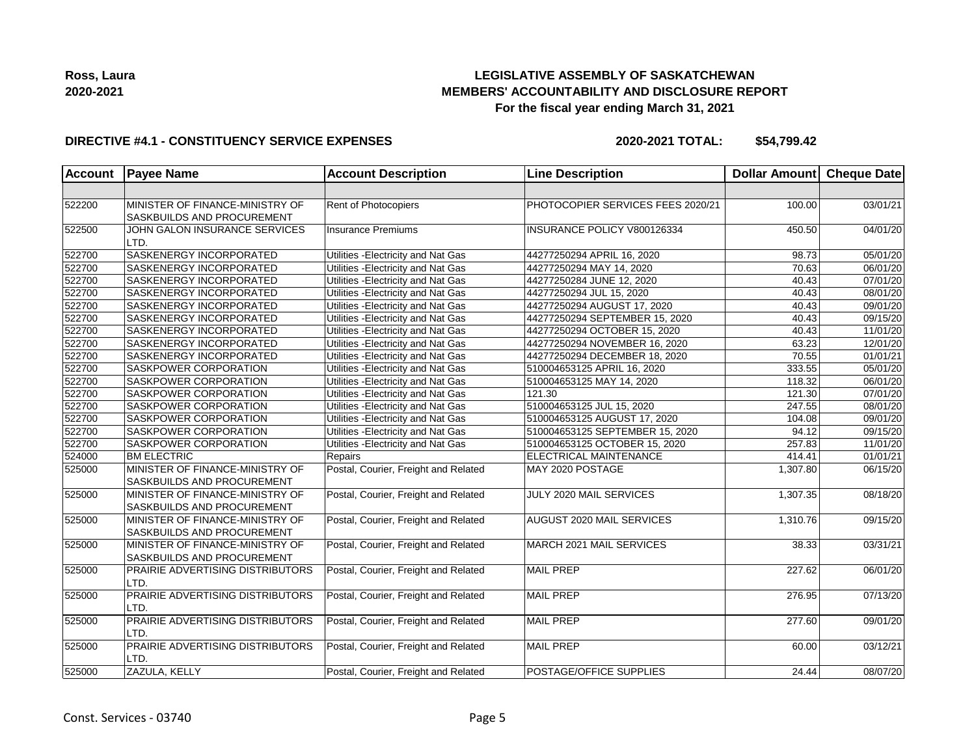

### **DIRECTIVE #4.1 - CONSTITUENCY SERVICE EXPENSES**

| <b>Account</b> | <b>Payee Name</b>                                             | <b>Account Description</b>           | <b>Line Description</b>           | <b>Dollar Amount</b> | Cheque Date |
|----------------|---------------------------------------------------------------|--------------------------------------|-----------------------------------|----------------------|-------------|
|                |                                                               |                                      |                                   |                      |             |
| 522200         | MINISTER OF FINANCE-MINISTRY OF<br>SASKBUILDS AND PROCUREMENT | Rent of Photocopiers                 | PHOTOCOPIER SERVICES FEES 2020/21 | 100.00               | 03/01/21    |
| 522500         | JOHN GALON INSURANCE SERVICES<br>LTD.                         | <b>Insurance Premiums</b>            | INSURANCE POLICY V800126334       | 450.50               | 04/01/20    |
| 522700         | SASKENERGY INCORPORATED                                       | Utilities - Electricity and Nat Gas  | 44277250294 APRIL 16, 2020        | 98.73                | 05/01/20    |
| 522700         | SASKENERGY INCORPORATED                                       | Utilities - Electricity and Nat Gas  | 44277250294 MAY 14, 2020          | 70.63                | 06/01/20    |
| 522700         | SASKENERGY INCORPORATED                                       | Utilities - Electricity and Nat Gas  | 44277250284 JUNE 12, 2020         | 40.43                | 07/01/20    |
| 522700         | SASKENERGY INCORPORATED                                       | Utilities - Electricity and Nat Gas  | 44277250294 JUL 15, 2020          | 40.43                | 08/01/20    |
| 522700         | SASKENERGY INCORPORATED                                       | Utilities - Electricity and Nat Gas  | 44277250294 AUGUST 17, 2020       | 40.43                | 09/01/20    |
| 522700         | <b>SASKENERGY INCORPORATED</b>                                | Utilities - Electricity and Nat Gas  | 44277250294 SEPTEMBER 15, 2020    | 40.43                | 09/15/20    |
| 522700         | SASKENERGY INCORPORATED                                       | Utilities - Electricity and Nat Gas  | 44277250294 OCTOBER 15, 2020      | 40.43                | 11/01/20    |
| 522700         | SASKENERGY INCORPORATED                                       | Utilities - Electricity and Nat Gas  | 44277250294 NOVEMBER 16, 2020     | 63.23                | 12/01/20    |
| 522700         | SASKENERGY INCORPORATED                                       | Utilities - Electricity and Nat Gas  | 44277250294 DECEMBER 18, 2020     | 70.55                | 01/01/21    |
| 522700         | SASKPOWER CORPORATION                                         | Utilities - Electricity and Nat Gas  | 510004653125 APRIL 16, 2020       | 333.55               | 05/01/20    |
| 522700         | SASKPOWER CORPORATION                                         | Utilities - Electricity and Nat Gas  | 510004653125 MAY 14, 2020         | 118.32               | 06/01/20    |
| 522700         | SASKPOWER CORPORATION                                         | Utilities - Electricity and Nat Gas  | 121.30                            | 121.30               | 07/01/20    |
| 522700         | SASKPOWER CORPORATION                                         | Utilities - Electricity and Nat Gas  | 510004653125 JUL 15, 2020         | 247.55               | 08/01/20    |
| 522700         | SASKPOWER CORPORATION                                         | Utilities - Electricity and Nat Gas  | 510004653125 AUGUST 17, 2020      | 104.08               | 09/01/20    |
| 522700         | SASKPOWER CORPORATION                                         | Utilities - Electricity and Nat Gas  | 510004653125 SEPTEMBER 15, 2020   | 94.12                | 09/15/20    |
| 522700         | SASKPOWER CORPORATION                                         | Utilities - Electricity and Nat Gas  | 510004653125 OCTOBER 15, 2020     | 257.83               | 11/01/20    |
| 524000         | <b>BM ELECTRIC</b>                                            | Repairs                              | <b>ELECTRICAL MAINTENANCE</b>     | 414.41               | 01/01/21    |
| 525000         | MINISTER OF FINANCE-MINISTRY OF<br>SASKBUILDS AND PROCUREMENT | Postal, Courier, Freight and Related | MAY 2020 POSTAGE                  | 1,307.80             | 06/15/20    |
| 525000         | MINISTER OF FINANCE-MINISTRY OF<br>SASKBUILDS AND PROCUREMENT | Postal, Courier, Freight and Related | JULY 2020 MAIL SERVICES           | 1,307.35             | 08/18/20    |
| 525000         | MINISTER OF FINANCE-MINISTRY OF<br>SASKBUILDS AND PROCUREMENT | Postal, Courier, Freight and Related | AUGUST 2020 MAIL SERVICES         | 1,310.76             | 09/15/20    |
| 525000         | MINISTER OF FINANCE-MINISTRY OF<br>SASKBUILDS AND PROCUREMENT | Postal, Courier, Freight and Related | MARCH 2021 MAIL SERVICES          | 38.33                | 03/31/21    |
| 525000         | PRAIRIE ADVERTISING DISTRIBUTORS<br>LTD.                      | Postal, Courier, Freight and Related | <b>MAIL PREP</b>                  | 227.62               | 06/01/20    |
| 525000         | PRAIRIE ADVERTISING DISTRIBUTORS<br>LTD.                      | Postal, Courier, Freight and Related | <b>MAIL PREP</b>                  | 276.95               | 07/13/20    |
| 525000         | PRAIRIE ADVERTISING DISTRIBUTORS<br>LTD.                      | Postal, Courier, Freight and Related | <b>MAIL PREP</b>                  | 277.60               | 09/01/20    |
| 525000         | PRAIRIE ADVERTISING DISTRIBUTORS<br>LTD.                      | Postal, Courier, Freight and Related | <b>MAIL PREP</b>                  | 60.00                | 03/12/21    |
| 525000         | ZAZULA, KELLY                                                 | Postal, Courier, Freight and Related | POSTAGE/OFFICE SUPPLIES           | 24.44                | 08/07/20    |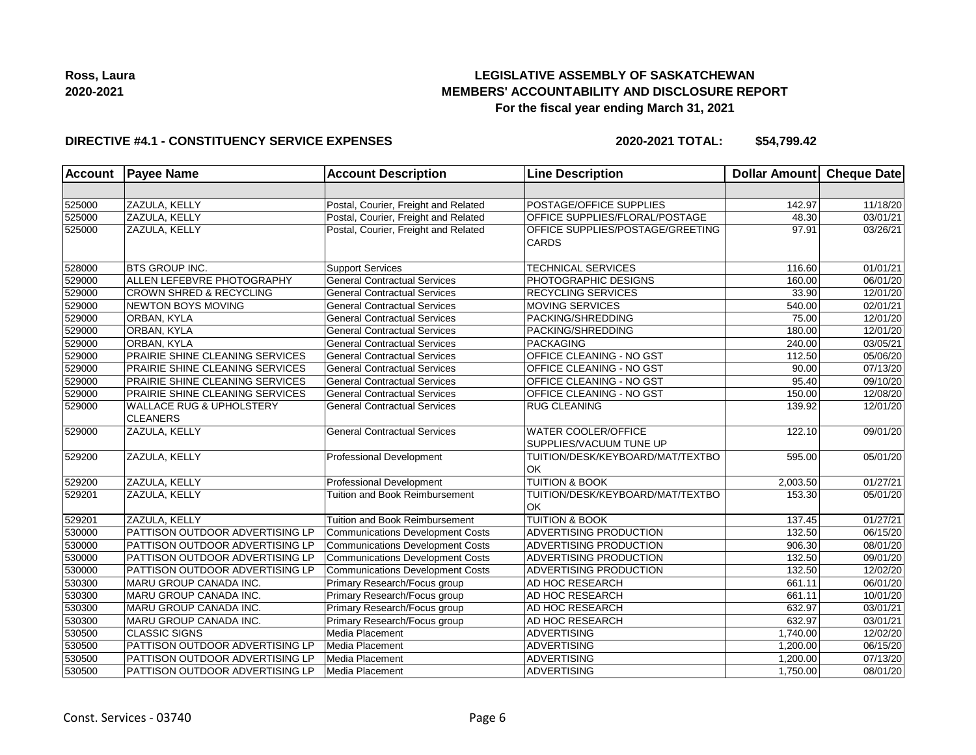

### **DIRECTIVE #4.1 - CONSTITUENCY SERVICE EXPENSES**

| Account | <b>Payee Name</b>                                      | <b>Account Description</b>              | <b>Line Description</b>                               | Dollar Amount Cheque Date |          |
|---------|--------------------------------------------------------|-----------------------------------------|-------------------------------------------------------|---------------------------|----------|
|         |                                                        |                                         |                                                       |                           |          |
| 525000  | ZAZULA, KELLY                                          | Postal, Courier, Freight and Related    | POSTAGE/OFFICE SUPPLIES                               | 142.97                    | 11/18/20 |
| 525000  | ZAZULA, KELLY                                          | Postal, Courier, Freight and Related    | OFFICE SUPPLIES/FLORAL/POSTAGE                        | 48.30                     | 03/01/21 |
| 525000  | ZAZULA, KELLY                                          | Postal, Courier, Freight and Related    | OFFICE SUPPLIES/POSTAGE/GREETING<br><b>CARDS</b>      | 97.91                     | 03/26/21 |
| 528000  | <b>BTS GROUP INC.</b>                                  | <b>Support Services</b>                 | <b>TECHNICAL SERVICES</b>                             | 116.60                    | 01/01/21 |
| 529000  | ALLEN LEFEBVRE PHOTOGRAPHY                             | <b>General Contractual Services</b>     | PHOTOGRAPHIC DESIGNS                                  | 160.00                    | 06/01/20 |
| 529000  | <b>CROWN SHRED &amp; RECYCLING</b>                     | <b>General Contractual Services</b>     | <b>RECYCLING SERVICES</b>                             | 33.90                     | 12/01/20 |
| 529000  | <b>NEWTON BOYS MOVING</b>                              | <b>General Contractual Services</b>     | MOVING SERVICES                                       | 540.00                    | 02/01/21 |
| 529000  | ORBAN, KYLA                                            | <b>General Contractual Services</b>     | <b>PACKING/SHREDDING</b>                              | 75.00                     | 12/01/20 |
| 529000  | ORBAN, KYLA                                            | <b>General Contractual Services</b>     | PACKING/SHREDDING                                     | 180.00                    | 12/01/20 |
| 529000  | ORBAN, KYLA                                            | <b>General Contractual Services</b>     | <b>PACKAGING</b>                                      | 240.00                    | 03/05/21 |
| 529000  | PRAIRIE SHINE CLEANING SERVICES                        | <b>General Contractual Services</b>     | OFFICE CLEANING - NO GST                              | 112.50                    | 05/06/20 |
| 529000  | PRAIRIE SHINE CLEANING SERVICES                        | <b>General Contractual Services</b>     | OFFICE CLEANING - NO GST                              | 90.00                     | 07/13/20 |
| 529000  | PRAIRIE SHINE CLEANING SERVICES                        | <b>General Contractual Services</b>     | OFFICE CLEANING - NO GST                              | 95.40                     | 09/10/20 |
| 529000  | PRAIRIE SHINE CLEANING SERVICES                        | <b>General Contractual Services</b>     | OFFICE CLEANING - NO GST                              | 150.00                    | 12/08/20 |
| 529000  | <b>WALLACE RUG &amp; UPHOLSTERY</b><br><b>CLEANERS</b> | <b>General Contractual Services</b>     | <b>RUG CLEANING</b>                                   | 139.92                    | 12/01/20 |
| 529000  | ZAZULA, KELLY                                          | <b>General Contractual Services</b>     | <b>WATER COOLER/OFFICE</b><br>SUPPLIES/VACUUM TUNE UP | 122.10                    | 09/01/20 |
| 529200  | ZAZULA, KELLY                                          | Professional Development                | TUITION/DESK/KEYBOARD/MAT/TEXTBO<br><b>OK</b>         | 595.00                    | 05/01/20 |
| 529200  | ZAZULA, KELLY                                          | Professional Development                | <b>TUITION &amp; BOOK</b>                             | 2,003.50                  | 01/27/21 |
| 529201  | ZAZULA, KELLY                                          | <b>Tuition and Book Reimbursement</b>   | TUITION/DESK/KEYBOARD/MAT/TEXTBO<br><b>OK</b>         | 153.30                    | 05/01/20 |
| 529201  | ZAZULA, KELLY                                          | Tuition and Book Reimbursement          | <b>TUITION &amp; BOOK</b>                             | 137.45                    | 01/27/21 |
| 530000  | PATTISON OUTDOOR ADVERTISING LP                        | <b>Communications Development Costs</b> | ADVERTISING PRODUCTION                                | 132.50                    | 06/15/20 |
| 530000  | PATTISON OUTDOOR ADVERTISING LP                        | <b>Communications Development Costs</b> | <b>ADVERTISING PRODUCTION</b>                         | 906.30                    | 08/01/20 |
| 530000  | PATTISON OUTDOOR ADVERTISING LP                        | <b>Communications Development Costs</b> | ADVERTISING PRODUCTION                                | 132.50                    | 09/01/20 |
| 530000  | PATTISON OUTDOOR ADVERTISING LP                        | <b>Communications Development Costs</b> | ADVERTISING PRODUCTION                                | 132.50                    | 12/02/20 |
| 530300  | MARU GROUP CANADA INC.                                 | Primary Research/Focus group            | AD HOC RESEARCH                                       | 661.11                    | 06/01/20 |
| 530300  | MARU GROUP CANADA INC.                                 | Primary Research/Focus group            | AD HOC RESEARCH                                       | 661.11                    | 10/01/20 |
| 530300  | MARU GROUP CANADA INC.                                 | Primary Research/Focus group            | AD HOC RESEARCH                                       | 632.97                    | 03/01/21 |
| 530300  | MARU GROUP CANADA INC.                                 | Primary Research/Focus group            | AD HOC RESEARCH                                       | 632.97                    | 03/01/21 |
| 530500  | <b>CLASSIC SIGNS</b>                                   | Media Placement                         | <b>ADVERTISING</b>                                    | 1,740.00                  | 12/02/20 |
| 530500  | PATTISON OUTDOOR ADVERTISING LP                        | Media Placement                         | <b>ADVERTISING</b>                                    | 1,200.00                  | 06/15/20 |
| 530500  | PATTISON OUTDOOR ADVERTISING LP                        | Media Placement                         | <b>ADVERTISING</b>                                    | 1,200.00                  | 07/13/20 |
| 530500  | PATTISON OUTDOOR ADVERTISING LP                        | Media Placement                         | <b>ADVERTISING</b>                                    | 1,750.00                  | 08/01/20 |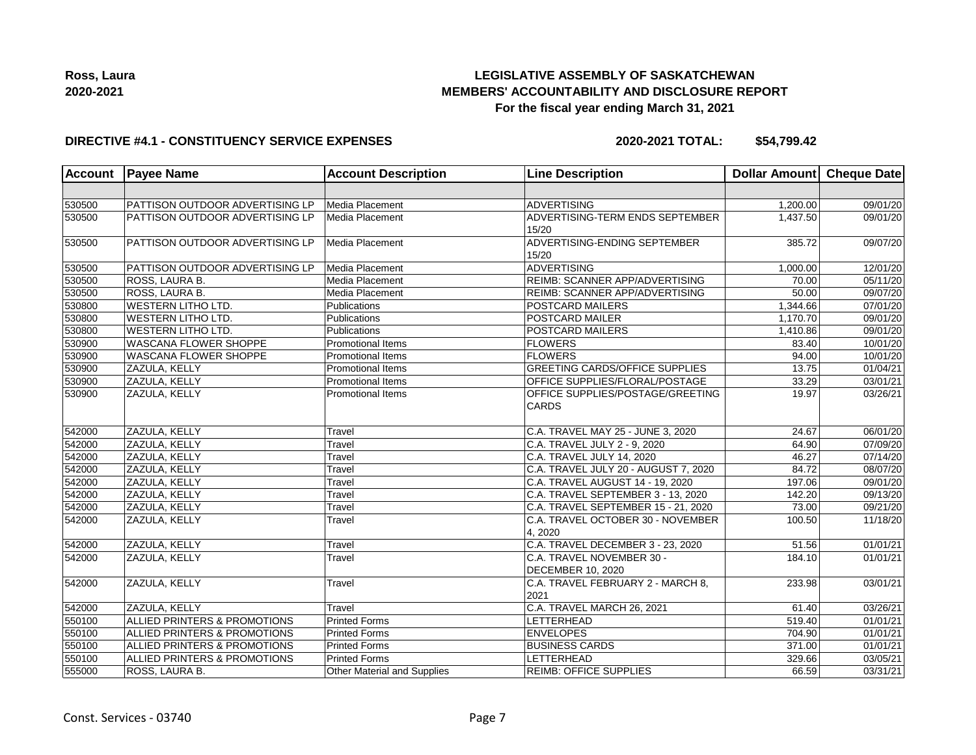

### **DIRECTIVE #4.1 - CONSTITUENCY SERVICE EXPENSES**

| <b>Account</b> | <b>Payee Name</b>                       | <b>Account Description</b>         | <b>Line Description</b>                                 | <b>Dollar Amount</b> | <b>Cheque Date</b>    |
|----------------|-----------------------------------------|------------------------------------|---------------------------------------------------------|----------------------|-----------------------|
|                |                                         |                                    |                                                         |                      |                       |
| 530500         | PATTISON OUTDOOR ADVERTISING LP         | Media Placement                    | <b>ADVERTISING</b>                                      | 1,200.00             | 09/01/20              |
| 530500         | PATTISON OUTDOOR ADVERTISING LP         | Media Placement                    | ADVERTISING-TERM ENDS SEPTEMBER<br>15/20                | 1,437.50             | 09/01/20              |
| 530500         | PATTISON OUTDOOR ADVERTISING LP         | Media Placement                    | ADVERTISING-ENDING SEPTEMBER<br>15/20                   | 385.72               | 09/07/20              |
| 530500         | PATTISON OUTDOOR ADVERTISING LP         | Media Placement                    | <b>ADVERTISING</b>                                      | 1.000.00             | 12/01/20              |
| 530500         | ROSS, LAURA B.                          | Media Placement                    | REIMB: SCANNER APP/ADVERTISING                          | 70.00                | 05/11/20              |
| 530500         | ROSS, LAURA B.                          | Media Placement                    | <b>REIMB: SCANNER APP/ADVERTISING</b>                   | 50.00                | 09/07/20              |
| 530800         | <b>WESTERN LITHO LTD.</b>               | Publications                       | POSTCARD MAILERS                                        | 1,344.66             | 07/01/20              |
| 530800         | <b>WESTERN LITHO LTD.</b>               | Publications                       | <b>POSTCARD MAILER</b>                                  | 1,170.70             | 09/01/20              |
| 530800         | <b>WESTERN LITHO LTD.</b>               | Publications                       | POSTCARD MAILERS                                        | 1,410.86             | 09/01/20              |
| 530900         | <b>WASCANA FLOWER SHOPPE</b>            | <b>Promotional Items</b>           | <b>FLOWERS</b>                                          | 83.40                | 10/01/20              |
| 530900         | <b>WASCANA FLOWER SHOPPE</b>            | Promotional Items                  | <b>FLOWERS</b>                                          | 94.00                | 10/01/20              |
| 530900         | ZAZULA, KELLY                           | Promotional Items                  | <b>GREETING CARDS/OFFICE SUPPLIES</b>                   | 13.75                | 01/04/21              |
| 530900         | ZAZULA, KELLY                           | Promotional Items                  | OFFICE SUPPLIES/FLORAL/POSTAGE                          | 33.29                | 03/01/21              |
| 530900         | ZAZULA, KELLY                           | <b>Promotional Items</b>           | <b>OFFICE SUPPLIES/POSTAGE/GREETING</b><br><b>CARDS</b> | 19.97                | 03/26/21              |
| 542000         | ZAZULA, KELLY                           | Travel                             | C.A. TRAVEL MAY 25 - JUNE 3, 2020                       | 24.67                | 06/01/20              |
| 542000         | ZAZULA, KELLY                           | Travel                             | C.A. TRAVEL JULY 2 - 9, 2020                            | 64.90                | 07/09/20              |
| 542000         | ZAZULA, KELLY                           | Travel                             | C.A. TRAVEL JULY 14, 2020                               | 46.27                | $\overline{07/14/20}$ |
| 542000         | ZAZULA, KELLY                           | Travel                             | C.A. TRAVEL JULY 20 - AUGUST 7, 2020                    | 84.72                | 08/07/20              |
| 542000         | ZAZULA, KELLY                           | Travel                             | C.A. TRAVEL AUGUST 14 - 19, 2020                        | 197.06               | 09/01/20              |
| 542000         | ZAZULA, KELLY                           | Travel                             | C.A. TRAVEL SEPTEMBER 3 - 13, 2020                      | 142.20               | 09/13/20              |
| 542000         | ZAZULA, KELLY                           | Travel                             | C.A. TRAVEL SEPTEMBER 15 - 21, 2020                     | 73.00                | 09/21/20              |
| 542000         | ZAZULA, KELLY                           | Travel                             | C.A. TRAVEL OCTOBER 30 - NOVEMBER<br>4,2020             | 100.50               | 11/18/20              |
| 542000         | ZAZULA, KELLY                           | Travel                             | C.A. TRAVEL DECEMBER 3 - 23, 2020                       | 51.56                | 01/01/21              |
| 542000         | ZAZULA, KELLY                           | Travel                             | C.A. TRAVEL NOVEMBER 30 -<br><b>DECEMBER 10, 2020</b>   | 184.10               | 01/01/21              |
| 542000         | ZAZULA, KELLY                           | Travel                             | C.A. TRAVEL FEBRUARY 2 - MARCH 8,<br>2021               | 233.98               | 03/01/21              |
| 542000         | ZAZULA, KELLY                           | Travel                             | C.A. TRAVEL MARCH 26, 2021                              | 61.40                | 03/26/21              |
| 550100         | ALLIED PRINTERS & PROMOTIONS            | <b>Printed Forms</b>               | <b>LETTERHEAD</b>                                       | 519.40               | 01/01/21              |
| 550100         | <b>ALLIED PRINTERS &amp; PROMOTIONS</b> | <b>Printed Forms</b>               | <b>ENVELOPES</b>                                        | 704.90               | 01/01/21              |
| 550100         | ALLIED PRINTERS & PROMOTIONS            | <b>Printed Forms</b>               | <b>BUSINESS CARDS</b>                                   | 371.00               | 01/01/21              |
| 550100         | ALLIED PRINTERS & PROMOTIONS            | <b>Printed Forms</b>               | <b>LETTERHEAD</b>                                       | 329.66               | 03/05/21              |
| 555000         | ROSS, LAURA B.                          | <b>Other Material and Supplies</b> | <b>REIMB: OFFICE SUPPLIES</b>                           | 66.59                | 03/31/21              |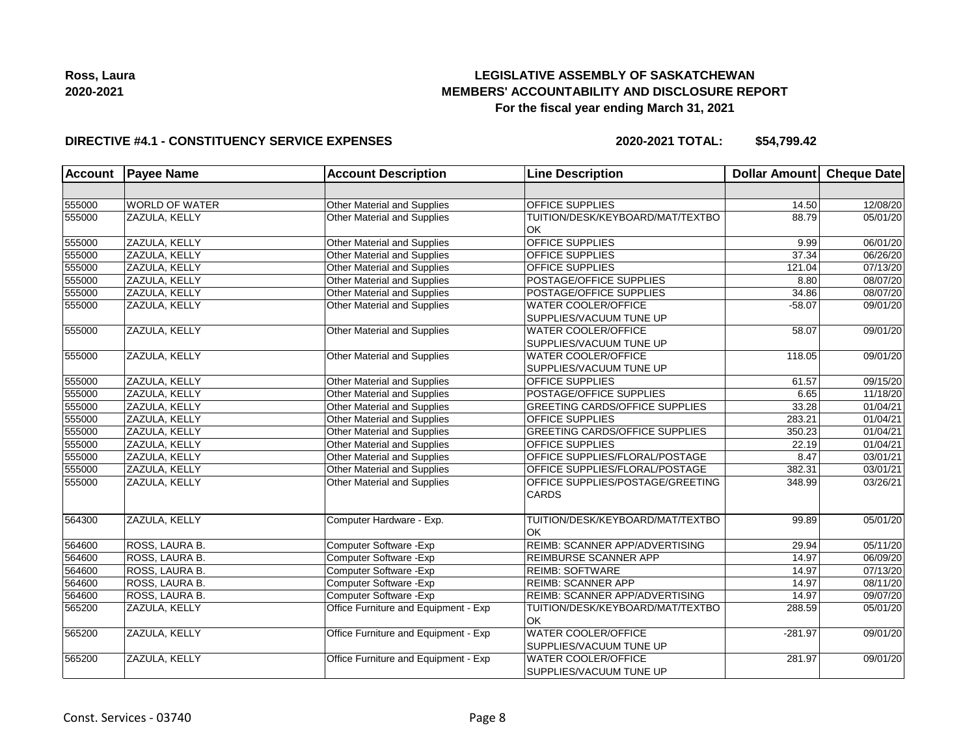

### **DIRECTIVE #4.1 - CONSTITUENCY SERVICE EXPENSES**

| <b>Account</b> | <b>Payee Name</b><br><b>Account Description</b><br><b>Line Description</b> |                                      | Dollar Amount Cheque Date                                          |          |          |
|----------------|----------------------------------------------------------------------------|--------------------------------------|--------------------------------------------------------------------|----------|----------|
|                |                                                                            |                                      |                                                                    |          |          |
| 555000         | <b>WORLD OF WATER</b>                                                      | Other Material and Supplies          | <b>OFFICE SUPPLIES</b>                                             | 14.50    | 12/08/20 |
| 555000         | ZAZULA, KELLY                                                              | Other Material and Supplies          | TUITION/DESK/KEYBOARD/MAT/TEXTBO<br><b>OK</b>                      | 88.79    | 05/01/20 |
| 555000         | ZAZULA, KELLY                                                              | Other Material and Supplies          | <b>OFFICE SUPPLIES</b>                                             | 9.99     | 06/01/20 |
| 555000         | ZAZULA, KELLY                                                              | Other Material and Supplies          | <b>OFFICE SUPPLIES</b>                                             | 37.34    | 06/26/20 |
| 555000         | ZAZULA, KELLY                                                              | Other Material and Supplies          | <b>OFFICE SUPPLIES</b>                                             | 121.04   | 07/13/20 |
| 555000         | ZAZULA, KELLY                                                              | Other Material and Supplies          | POSTAGE/OFFICE SUPPLIES                                            | 8.80     | 08/07/20 |
| 555000         | ZAZULA, KELLY                                                              | Other Material and Supplies          | POSTAGE/OFFICE SUPPLIES                                            | 34.86    | 08/07/20 |
| 555000         | ZAZULA, KELLY                                                              | Other Material and Supplies          | <b>WATER COOLER/OFFICE</b><br>SUPPLIES/VACUUM TUNE UP              | $-58.07$ | 09/01/20 |
| 555000         | ZAZULA, KELLY                                                              | Other Material and Supplies          | <b>WATER COOLER/OFFICE</b>                                         | 58.07    | 09/01/20 |
|                |                                                                            |                                      | SUPPLIES/VACUUM TUNE UP                                            |          |          |
| 555000         | ZAZULA, KELLY                                                              | Other Material and Supplies          | <b>WATER COOLER/OFFICE</b>                                         | 118.05   | 09/01/20 |
|                |                                                                            |                                      | SUPPLIES/VACUUM TUNE UP                                            |          |          |
| 555000         | ZAZULA, KELLY                                                              | Other Material and Supplies          | <b>OFFICE SUPPLIES</b>                                             | 61.57    | 09/15/20 |
| 555000         | ZAZULA, KELLY                                                              | Other Material and Supplies          | POSTAGE/OFFICE SUPPLIES                                            | 6.65     | 11/18/20 |
| 555000         | ZAZULA, KELLY                                                              | Other Material and Supplies          | <b>GREETING CARDS/OFFICE SUPPLIES</b>                              | 33.28    | 01/04/21 |
| 555000         | ZAZULA, KELLY                                                              | Other Material and Supplies          | <b>OFFICE SUPPLIES</b>                                             | 283.21   | 01/04/21 |
| 555000         | ZAZULA, KELLY                                                              | <b>Other Material and Supplies</b>   | <b>GREETING CARDS/OFFICE SUPPLIES</b>                              | 350.23   | 01/04/21 |
| 555000         | ZAZULA, KELLY                                                              | Other Material and Supplies          | <b>OFFICE SUPPLIES</b>                                             | 22.19    | 01/04/21 |
| 555000         | ZAZULA, KELLY                                                              | Other Material and Supplies          | OFFICE SUPPLIES/FLORAL/POSTAGE                                     | 8.47     | 03/01/21 |
| 555000         | ZAZULA, KELLY                                                              | Other Material and Supplies          | OFFICE SUPPLIES/FLORAL/POSTAGE                                     | 382.31   | 03/01/21 |
| 555000         | ZAZULA, KELLY                                                              | Other Material and Supplies          | OFFICE SUPPLIES/POSTAGE/GREETING<br><b>CARDS</b>                   | 348.99   | 03/26/21 |
| 564300         | ZAZULA, KELLY                                                              | Computer Hardware - Exp.             | TUITION/DESK/KEYBOARD/MAT/TEXTBO<br><b>OK</b>                      | 99.89    | 05/01/20 |
| 564600         | ROSS, LAURA B.                                                             | Computer Software - Exp              | <b>REIMB: SCANNER APP/ADVERTISING</b>                              | 29.94    | 05/11/20 |
| 564600         | ROSS, LAURA B.                                                             | Computer Software - Exp              | REIMBURSE SCANNER APP                                              | 14.97    | 06/09/20 |
| 564600         | ROSS, LAURA B.                                                             | Computer Software - Exp              | <b>REIMB: SOFTWARE</b>                                             | 14.97    | 07/13/20 |
| 564600         | ROSS, LAURA B.                                                             | Computer Software - Exp              | <b>REIMB: SCANNER APP</b>                                          | 14.97    | 08/11/20 |
| 564600         | ROSS, LAURA B.                                                             | Computer Software - Exp              | REIMB: SCANNER APP/ADVERTISING                                     | 14.97    | 09/07/20 |
| 565200         | ZAZULA, KELLY                                                              | Office Furniture and Equipment - Exp | TUITION/DESK/KEYBOARD/MAT/TEXTBO<br>lok                            | 288.59   | 05/01/20 |
| 565200         | ZAZULA, KELLY                                                              | Office Furniture and Equipment - Exp | <b>WATER COOLER/OFFICE</b><br>$-281.97$<br>SUPPLIES/VACUUM TUNE UP |          | 09/01/20 |
| 565200         | ZAZULA, KELLY                                                              | Office Furniture and Equipment - Exp | <b>WATER COOLER/OFFICE</b><br>SUPPLIES/VACUUM TUNE UP              | 281.97   | 09/01/20 |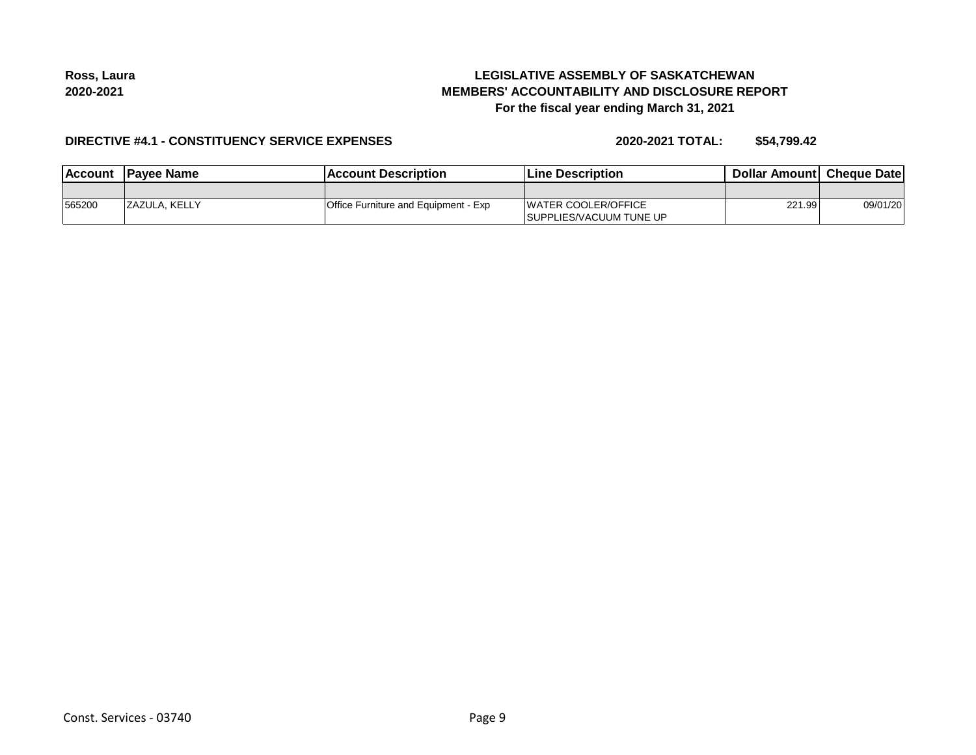# **LEGISLATIVE ASSEMBLY OF SASKATCHEWAN MEMBERS' ACCOUNTABILITY AND DISCLOSURE REPORT For the fiscal year ending March 31, 2021**

### **DIRECTIVE #4.1 - CONSTITUENCY SERVICE EXPENSES**

| <b>Account</b> | <b>IPavee Name</b> | <b>Account Description</b>           | <b>Line Description</b>                                        | <b>Dollar Amountl Cheque Date</b> |          |
|----------------|--------------------|--------------------------------------|----------------------------------------------------------------|-----------------------------------|----------|
|                |                    |                                      |                                                                |                                   |          |
| 565200         | IZAZULA. KELLY     | Office Furniture and Equipment - Exp | <b>IWATER COOLER/OFFICE</b><br><b>ISUPPLIES/VACUUM TUNE UP</b> | 221.99                            | 09/01/20 |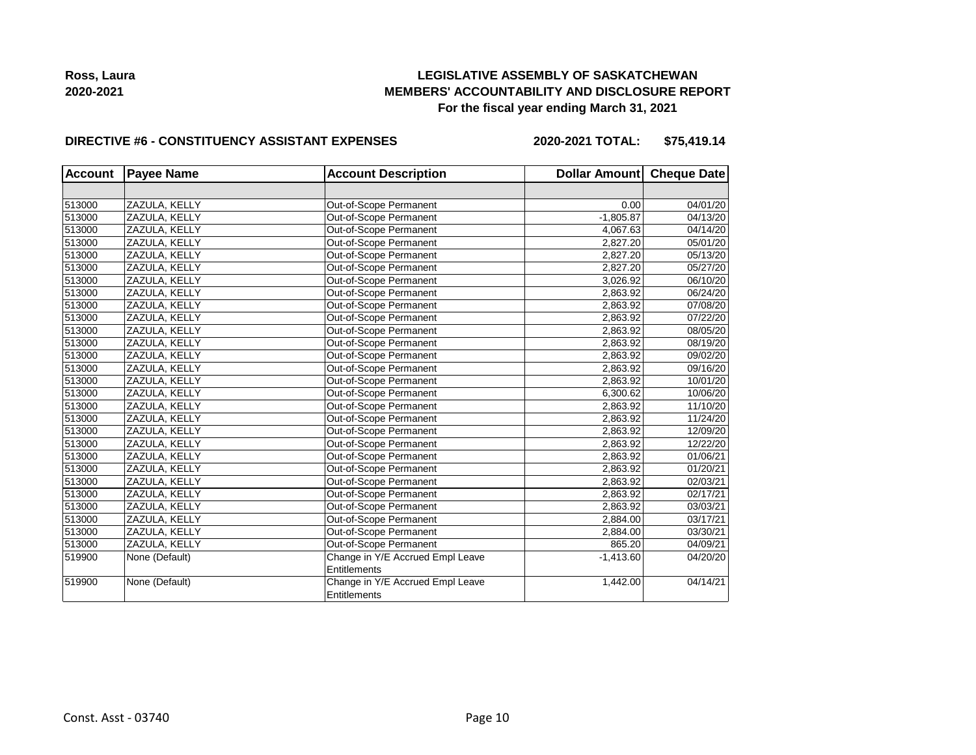## **LEGISLATIVE ASSEMBLY OF SASKATCHEWAN MEMBERS' ACCOUNTABILITY AND DISCLOSURE REPORT For the fiscal year ending March 31, 2021**

### **DIRECTIVE #6 - CONSTITUENCY ASSISTANT EXPENSES**

**2020-2021 TOTAL: \$75,419.14**

| <b>Account</b> | <b>Payee Name</b> | <b>Account Description</b>       | Dollar Amount Cheque Date |          |
|----------------|-------------------|----------------------------------|---------------------------|----------|
|                |                   |                                  |                           |          |
| 513000         | ZAZULA, KELLY     | Out-of-Scope Permanent           | 0.00                      | 04/01/20 |
| 513000         | ZAZULA, KELLY     | Out-of-Scope Permanent           | $-1,805.87$               | 04/13/20 |
| 513000         | ZAZULA, KELLY     | Out-of-Scope Permanent           | 4,067.63                  | 04/14/20 |
| 513000         | ZAZULA, KELLY     | Out-of-Scope Permanent           | 2,827.20                  | 05/01/20 |
| 513000         | ZAZULA, KELLY     | Out-of-Scope Permanent           | 2,827.20                  | 05/13/20 |
| 513000         | ZAZULA, KELLY     | Out-of-Scope Permanent           | 2,827.20                  | 05/27/20 |
| 513000         | ZAZULA, KELLY     | Out-of-Scope Permanent           | 3,026.92                  | 06/10/20 |
| 513000         | ZAZULA, KELLY     | Out-of-Scope Permanent           | 2,863.92                  | 06/24/20 |
| 513000         | ZAZULA, KELLY     | Out-of-Scope Permanent           | 2,863.92                  | 07/08/20 |
| 513000         | ZAZULA, KELLY     | Out-of-Scope Permanent           | 2,863.92                  | 07/22/20 |
| 513000         | ZAZULA, KELLY     | Out-of-Scope Permanent           | 2,863.92                  | 08/05/20 |
| 513000         | ZAZULA, KELLY     | Out-of-Scope Permanent           | 2,863.92                  | 08/19/20 |
| 513000         | ZAZULA, KELLY     | Out-of-Scope Permanent           | 2,863.92                  | 09/02/20 |
| 513000         | ZAZULA, KELLY     | Out-of-Scope Permanent           | 2,863.92                  | 09/16/20 |
| 513000         | ZAZULA, KELLY     | Out-of-Scope Permanent           | 2,863.92                  | 10/01/20 |
| 513000         | ZAZULA, KELLY     | Out-of-Scope Permanent           | 6,300.62                  | 10/06/20 |
| 513000         | ZAZULA, KELLY     | Out-of-Scope Permanent           | 2,863.92                  | 11/10/20 |
| 513000         | ZAZULA, KELLY     | Out-of-Scope Permanent           | 2,863.92                  | 11/24/20 |
| 513000         | ZAZULA, KELLY     | Out-of-Scope Permanent           | 2,863.92                  | 12/09/20 |
| 513000         | ZAZULA, KELLY     | Out-of-Scope Permanent           | 2,863.92                  | 12/22/20 |
| 513000         | ZAZULA, KELLY     | Out-of-Scope Permanent           | 2,863.92                  | 01/06/21 |
| 513000         | ZAZULA, KELLY     | Out-of-Scope Permanent           | 2,863.92                  | 01/20/21 |
| 513000         | ZAZULA, KELLY     | Out-of-Scope Permanent           | 2,863.92                  | 02/03/21 |
| 513000         | ZAZULA, KELLY     | Out-of-Scope Permanent           | 2,863.92                  | 02/17/21 |
| 513000         | ZAZULA, KELLY     | Out-of-Scope Permanent           | 2,863.92                  | 03/03/21 |
| 513000         | ZAZULA, KELLY     | Out-of-Scope Permanent           | 2,884.00                  | 03/17/21 |
| 513000         | ZAZULA, KELLY     | Out-of-Scope Permanent           | 2,884.00                  | 03/30/21 |
| 513000         | ZAZULA, KELLY     | Out-of-Scope Permanent           | 865.20                    | 04/09/21 |
| 519900         | None (Default)    | Change in Y/E Accrued Empl Leave | $-1,413.60$               | 04/20/20 |
|                |                   | Entitlements                     |                           |          |
| 519900         | None (Default)    | Change in Y/E Accrued Empl Leave | 1,442.00                  | 04/14/21 |
|                |                   | Entitlements                     |                           |          |